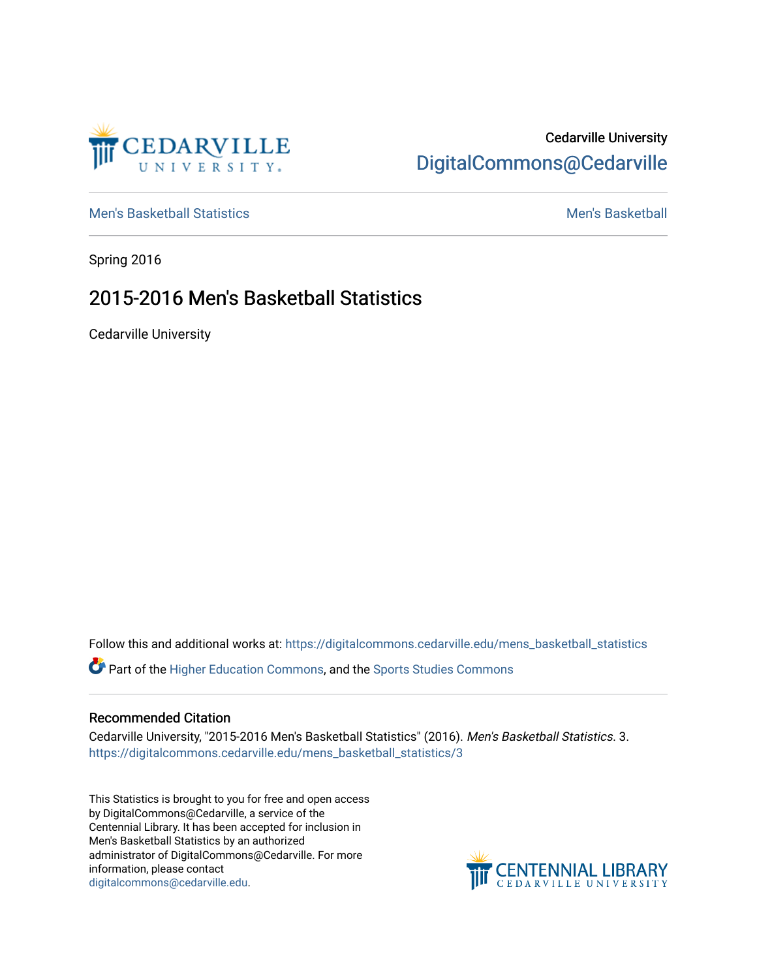

## Cedarville University [DigitalCommons@Cedarville](https://digitalcommons.cedarville.edu/)

[Men's Basketball Statistics](https://digitalcommons.cedarville.edu/mens_basketball_statistics) [Men's Basketball](https://digitalcommons.cedarville.edu/mens_basketball) 

Spring 2016

## 2015-2016 Men's Basketball Statistics

Cedarville University

Follow this and additional works at: [https://digitalcommons.cedarville.edu/mens\\_basketball\\_statistics](https://digitalcommons.cedarville.edu/mens_basketball_statistics?utm_source=digitalcommons.cedarville.edu%2Fmens_basketball_statistics%2F3&utm_medium=PDF&utm_campaign=PDFCoverPages) 

Part of the [Higher Education Commons,](http://network.bepress.com/hgg/discipline/1245?utm_source=digitalcommons.cedarville.edu%2Fmens_basketball_statistics%2F3&utm_medium=PDF&utm_campaign=PDFCoverPages) and the [Sports Studies Commons](http://network.bepress.com/hgg/discipline/1198?utm_source=digitalcommons.cedarville.edu%2Fmens_basketball_statistics%2F3&utm_medium=PDF&utm_campaign=PDFCoverPages) 

## Recommended Citation

Cedarville University, "2015-2016 Men's Basketball Statistics" (2016). Men's Basketball Statistics. 3. [https://digitalcommons.cedarville.edu/mens\\_basketball\\_statistics/3](https://digitalcommons.cedarville.edu/mens_basketball_statistics/3?utm_source=digitalcommons.cedarville.edu%2Fmens_basketball_statistics%2F3&utm_medium=PDF&utm_campaign=PDFCoverPages) 

This Statistics is brought to you for free and open access by DigitalCommons@Cedarville, a service of the Centennial Library. It has been accepted for inclusion in Men's Basketball Statistics by an authorized administrator of DigitalCommons@Cedarville. For more information, please contact [digitalcommons@cedarville.edu](mailto:digitalcommons@cedarville.edu).